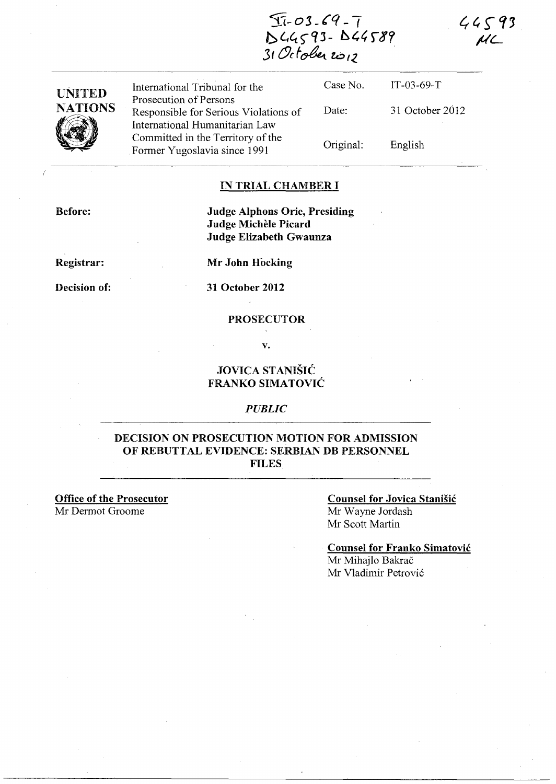$44593$  $MC$ 

 $51 - 03 - 69 - 7$ b445 73- b44507 3( (J(f~ *'/.,01< '* 

| <b>UNITED</b><br><b>NATIONS</b> | International Tribunal for the                                                                    | Case No.  | $IT-03-69-T$    |
|---------------------------------|---------------------------------------------------------------------------------------------------|-----------|-----------------|
|                                 | Prosecution of Persons<br>Responsible for Serious Violations of<br>International Humanitarian Law | Date:     | 31 October 2012 |
|                                 | Committed in the Territory of the<br>Former Yugoslavia since 1991                                 | Original: | English         |
|                                 |                                                                                                   |           |                 |

#### IN TRIAL CHAMBER I

Before:

Judge Alphons Orie, Presiding Judge Michèle Picard Judge Elizabeth Gwaunza

Registrar:

Decision of:

Mr John Hocking

31 October 2012

#### PROSECUTOR

v.

# JOVICA STANISIC FRANKO SIMATOVIC

*PUBLIC* 

# DECISION ON PROSECUTION MOTION FOR ADMISSION OF REBUTTAL EVIDENCE: SERBIAN DB PERSONNEL FILES

Office of the Prosecutor Mr Dermot Groome

### Counsel for Jovica Stanisic Mr Wayne Jordash

Mr Scott Martin

Counsel for Franko Simatovic

Mr Mihajlo Bakrač Mr Vladimir Petrovic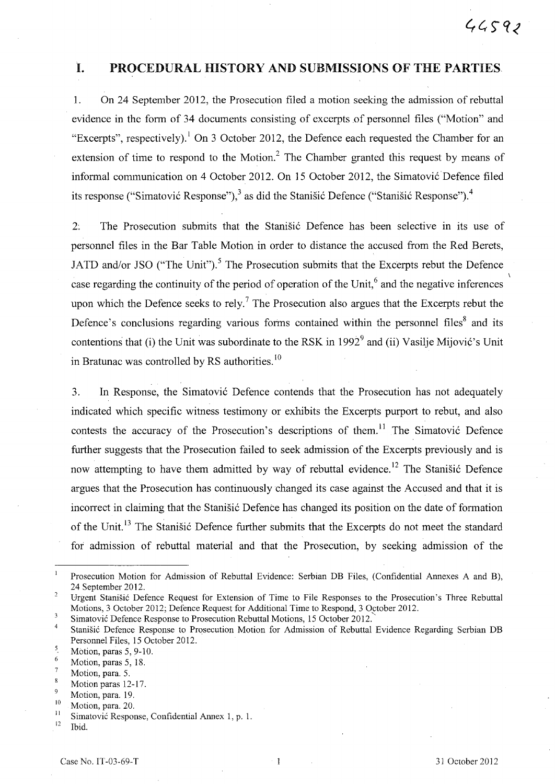# I. PROCEDURAL HISTORY AND SUBMISSIONS OF THE PARTIES,

1. On 24 September 2012, the Prosecution filed a motion seeking the admission of rebuttal evidence in the form of 34 documents consisting of excerpts of personnel files ("Motion" and "Excerpts", respectively).<sup>1</sup> On 3 October 2012, the Defence each requested the Chamber for an extension of time to respond to the Motion.<sup>2</sup> The Chamber granted this request by means of informal communication on 4 October 2012. On 15 October 2012, the Simatović Defence filed its response ("Simatović Response"),<sup>3</sup> as did the Stanisić Defence ("Stanisić Response").<sup>4</sup>

2: The Prosecution submits that the Stanisic Defence has been selective in its use of personnel files in the Bar Table Motion in order to distance the accused from the Red Berets, JATD and/or JSO ("The Unit").<sup>5</sup> The Prosecution submits that the Excerpts rebut the Defence case regarding the continuity of the period of operation of the Unit,<sup> $6$ </sup> and the negative inferences upon which the Defence seeks to rely.<sup>7</sup> The Prosecution also argues that the Excerpts rebut the Defence's conclusions regarding various forms contained within the personnel files $8$  and its contentions that (i) the Unit was subordinate to the RSK in 1992 $^9$  and (ii) Vasilje Mijović's Unit in Bratunac was controlled by RS authorities.<sup>10</sup>

3. In Response, the Simatović Defence contends that the Prosecution has not adequately indicated which specific witness testimony or exhibits the Excerpts purport to rebut, and also contests the accuracy of the Prosecution's descriptions of them.<sup>11</sup> The Simatović Defence further suggests that the Prosecution failed to seek admission of the Excerpts previously and is now attempting to have them admitted by way of rebuttal evidence.<sup>12</sup> The Stanistic Defence argues that the Prosecution has continuously changed its case against the Accused and that it is incorrect in claiming that the Stanišić Defence has changed its position on the date of formation of the Unit.<sup>13</sup> The Stanišić Defence further submits that the Excerpts do not meet the standard for admission of rebuttal material and that the Prosecution, by seeking admission of the

Prosecution Motion for Admission of Rebuttal Evidence: Serbian DB Files, (Confidential Annexes A and B), 24 September 2012.

 $\overline{2}$ Urgent Stanišić Defence Request for Extension of Time to File Responses to the Prosecution's Three Rebuttal Motions,3 October 2012; Defence Request for Additional Time to Respond, 3 October 2012. 3

Simatović Defence Response to Prosecution Rebuttal Motions, 15 October 2012.

<sup>&</sup>lt;sup>4</sup> Stanišić Defence Response to Prosecution Motion for Admission of Rebuttal Evidence Regarding Serbian DB Personnel Files, 15 October 2012.

 $\frac{5}{6}$  Motion, paras 5, 9-10.

 $\frac{6}{7}$  Motion, paras 5, 18.

Motion, para. 5.

<sup>8</sup> Motion paras 12-17.

 $\mathfrak{g}$ Motion, para. 19.

 $\frac{10}{11}$  Motion, para. 20.

<sup>&</sup>lt;sup>11</sup> Simatović Response, Confidential Annex 1, p. 1.<br><sup>12</sup> Ibid

Ibid.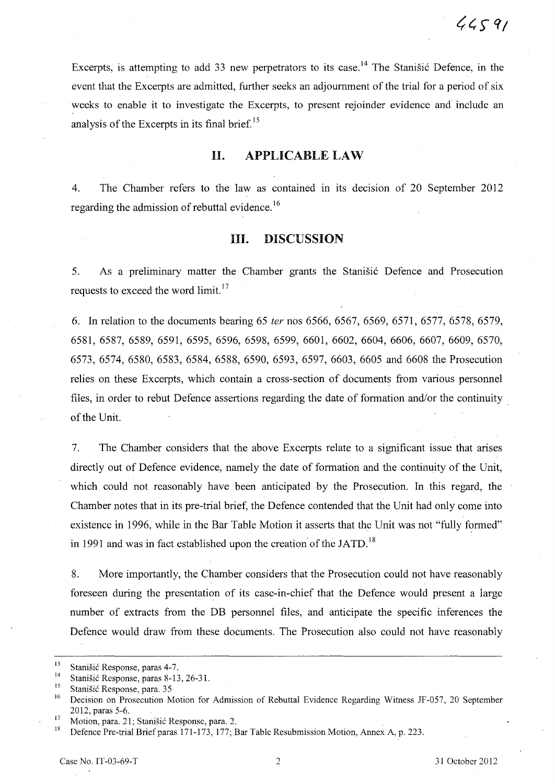Excerpts, is attempting to add 33 new perpetrators to its case.<sup>14</sup> The Stanisic Defence, in the event that the Excerpts are admitted, further seeks an adjournment of the trial for a period of six weeks to enable it to investigate the Excerpts, to present rejoinder evidence and include an analysis of the Excerpts in its final brief.<sup>15</sup>

#### **II. APPLICABLE LAW**

4. The Chamber refers to the law as contained in its decision of 20 September 2012 regarding the admission of rebuttal evidence.<sup>16</sup>

# **Ill. DISCUSSION**

5. As a preliminary matter the Chamber grants the Stanisic Defence and Prosecution requests to exceed the word  $\text{limit.}^{17}$ 

6. **In** relation to the documents bearing 65 *ter* nos 6566, 6567, 6569, 6571, 6577, 6578, 6579, 6581, 6587, 6589, 6591, 6595, 6596, 6598, 6599, 6601, 6602, 6604, 6606, 6607, 6609, 6570, 6573, 6574, 6580, 6583, 6584, 6588, 6590, 6593, 6597, 6603, 6605 and 6608 the Prosecution relies on these Excerpts, which contain a cross-section of documents from various personnel files, in order to rebut Defence assertions regarding the date of formation and/or the continuity. of the Unit.

7. The Chamber considers that the above Excerpts relate to a significant issue that arises directly out of Defence evidence, namely the date of formation and the continuity of the Unit, which could not reasonably have been anticipated by the Prosecution. **In** this regard, the Chamber notes that in its pre-trial brief, the Defence contended that the Unit had only come into existence in 1996, while in the Bar Table Motion it asserts that the Unit was not "fully formed" in 1991 and was in fact established upon the creation of the JATD.<sup>18</sup>

8. More importantly, the Chamber considers that the Prosecution could not have reasonably foreseen during the presentation of its case-in-chief that the Defence would present a large number of extracts from the DB personnel files, and anticipate the specific inferences the Defence would draw from these documents. The Prosecution also could not have reasonably

<sup>&</sup>lt;sup>13</sup> Stanišić Response, paras 4-7.

<sup>&</sup>lt;sup>14</sup> Stanišić Response, paras 8-13, 26-31.

<sup>&</sup>lt;sup>15</sup> Stanišić Response, para. 35

<sup>16</sup> Decision on Prosecution Motion for Admission of Rebuttal Evidence Regarding Witness JF-057, 20 September 2012, paras 5-6.

<sup>&</sup>lt;sup>17</sup> Motion, para. 21; Stanišić Response, para. 2.<br><sup>18</sup> Defense Pre trial Brief para. 171, 172, 177, E

<sup>18</sup> Defence Pre-trial Brief paras 171-173, 177; Bar Table Resubmission Motion, Annex A, p. 223.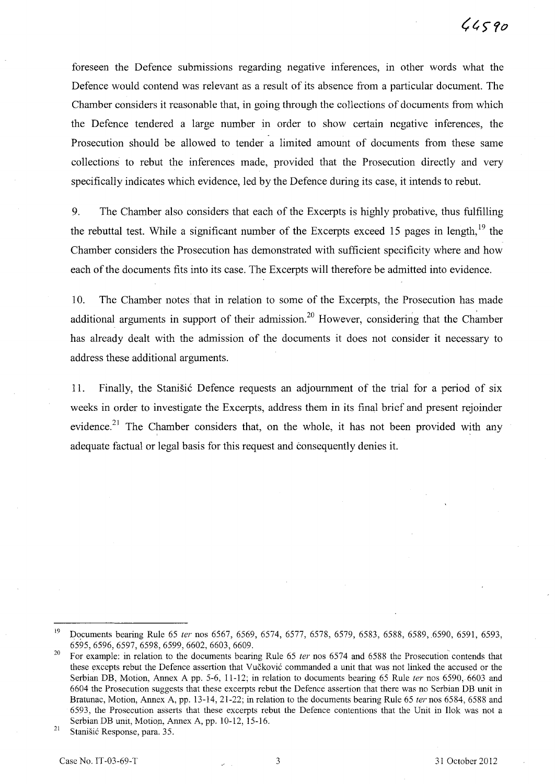foreseen the Defence submissions regarding negative inferences, in other words what the Defence would contend was relevant as a result of its absence from a particular document. The Chamber considers it reasonable that, in going through the collections of documents from which the Defence tendered a large number in order to show certain negative inferences, the Prosecution should be allowed to tender a limited amount of documents from these same collections to rebut the inferences made, provided that the Prosecution directly and very specifically indicates which evidence, led by the Defence during its case, it intends to rebut.

9. The Chamber also considers that each of the Excerpts is highly probative, thus fulfilling the rebuttal test. While a significant number of the Excerpts exceed 15 pages in length,  $19$  the Chamber considers the Prosecution has demonstrated with sufficient specificity where and how each of the documents fits into its case. The Excerpts will therefore be admitted into evidence.

10. The Chamber notes that in relation to some of the Excerpts, the Prosecution has made additional arguments in support of their admission.<sup>20</sup> However, considering that the Chamber has already dealt with the admission of the documents it does not consider it necessary to address these additional arguments.

11. Finally, the Stanisic Defence requests an adjournment of the trial for a period of six weeks in order to investigate the Excerpts, address them in its final brief and present rejoinder evidence.<sup>21</sup> The Chamber considers that, on the whole, it has not been provided with any adequate factual or legal basis for this request and consequently denies it.

<sup>&</sup>lt;sup>19</sup> Documents bearing Rule 65 ter nos 6567, 6569, 6574, 6577, 6578, 6579, 6583, 6588, 6589, 6590, 6591, 6593, 6595,6596,6597,6598,6599,6602,6603,6609.

<sup>&</sup>lt;sup>20</sup> For example: in relation to the documents bearing Rule 65 *ter* nos 6574 and 6588 the Prosecution contends that these excepts rebut the Defence assertion that Vuckovic commanded a unit that was not linked the accused or the Serbian DB, Motion, Annex A pp. 5-6, 11-12; in relation to documents bearing 65 Rule ter nos 6590, 6603 and 6604 the Prosecution suggests that these excerpts rebut the Defence assertion that there was no Serbian DB unit in Bratunac, Motion, Annex A, pp. 13-14, 21-22; in relation to the documents bearing Rule 65 ter nos 6584, 6588 and 6593, the Prosecution asserts that these excerpts rebut the Defence contentions that the Unit in Ilok was not a Serbian DB unit, Motion, Annex A, pp. 10-12, 15-16.

<sup>21</sup>  Stanisic Response, para. 35.